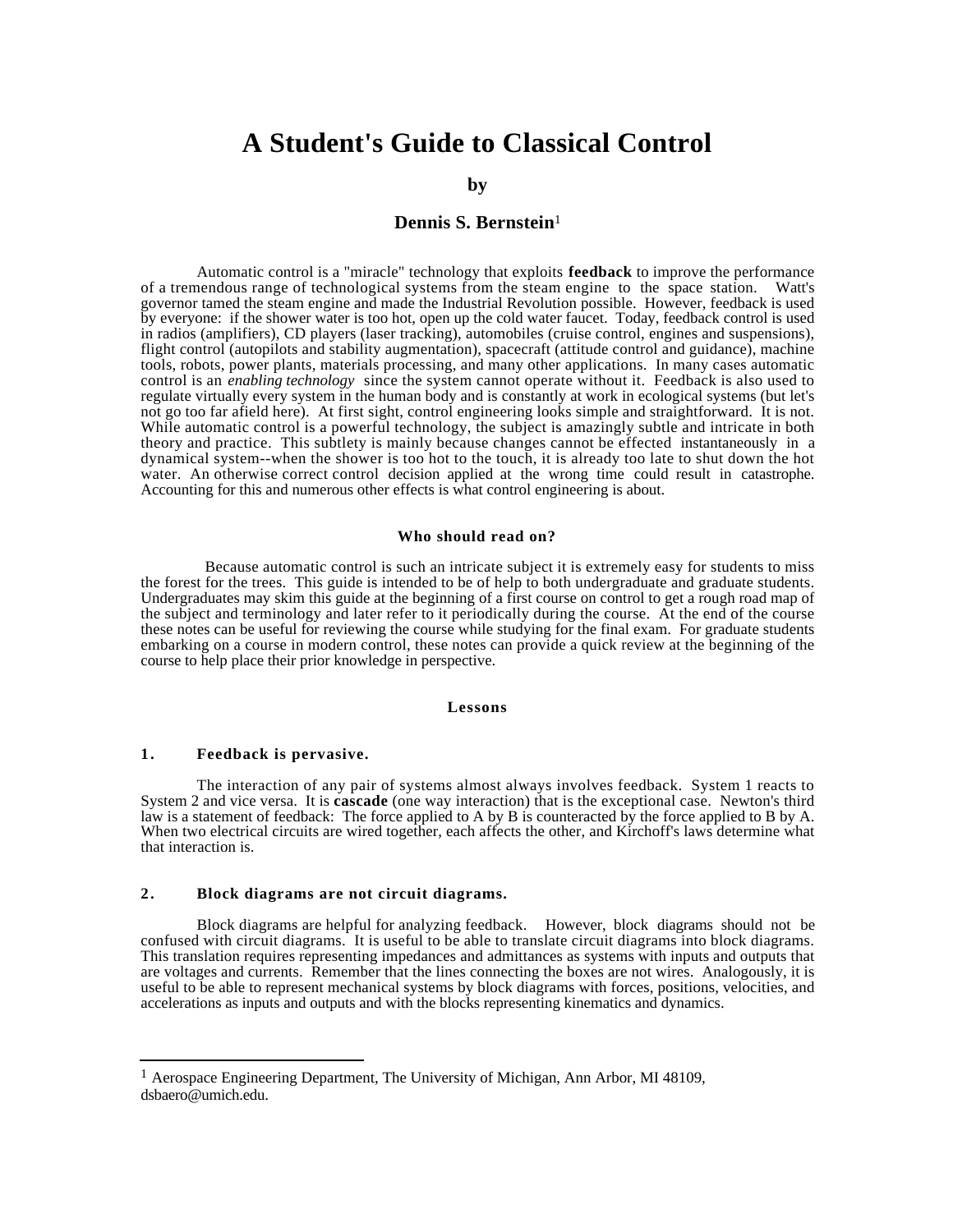# **A Student's Guide to Classical Control**

### **by**

# **Dennis S. Bernstein**<sup>1</sup>

Automatic control is a "miracle" technology that exploits **feedback** to improve the performance of a tremendous range of technological systems from the steam engine to the space station. Watt's governor tamed the steam engine and made the Industrial Revolution possible. However, feedback is used by everyone: if the shower water is too hot, open up the cold water faucet. Today, feedback control is used in radios (amplifiers), CD players (laser tracking), automobiles (cruise control, engines and suspensions), flight control (autopilots and stability augmentation), spacecraft (attitude control and guidance), machine tools, robots, power plants, materials processing, and many other applications. In many cases automatic control is an *enabling technology* since the system cannot operate without it. Feedback is also used to regulate virtually every system in the human body and is constantly at work in ecological systems (but let's not go too far afield here). At first sight, control engineering looks simple and straightforward. It is not. While automatic control is a powerful technology, the subject is amazingly subtle and intricate in both theory and practice. This subtlety is mainly because changes cannot be effected instantaneously in a dynamical system--when the shower is too hot to the touch, it is already too late to shut down the hot water. An otherwise correct control decision applied at the wrong time could result in catastrophe. Accounting for this and numerous other effects is what control engineering is about.

#### **Who should read on?**

 Because automatic control is such an intricate subject it is extremely easy for students to miss the forest for the trees. This guide is intended to be of help to both undergraduate and graduate students. Undergraduates may skim this guide at the beginning of a first course on control to get a rough road map of the subject and terminology and later refer to it periodically during the course. At the end of the course these notes can be useful for reviewing the course while studying for the final exam. For graduate students embarking on a course in modern control, these notes can provide a quick review at the beginning of the course to help place their prior knowledge in perspective.

#### **Lessons**

## **1 . Feedback is pervasive.**

l

The interaction of any pair of systems almost always involves feedback. System 1 reacts to System 2 and vice versa. It is **cascade** (one way interaction) that is the exceptional case. Newton's third law is a statement of feedback: The force applied to A by B is counteracted by the force applied to B by A. When two electrical circuits are wired together, each affects the other, and Kirchoff's laws determine what that interaction is.

## **2 . Block diagrams are not circuit diagrams.**

Block diagrams are helpful for analyzing feedback. However, block diagrams should not be confused with circuit diagrams. It is useful to be able to translate circuit diagrams into block diagrams. This translation requires representing impedances and admittances as systems with inputs and outputs that are voltages and currents. Remember that the lines connecting the boxes are not wires. Analogously, it is useful to be able to represent mechanical systems by block diagrams with forces, positions, velocities, and accelerations as inputs and outputs and with the blocks representing kinematics and dynamics.

<sup>1</sup> Aerospace Engineering Department, The University of Michigan, Ann Arbor, MI 48109, dsbaero@umich.edu.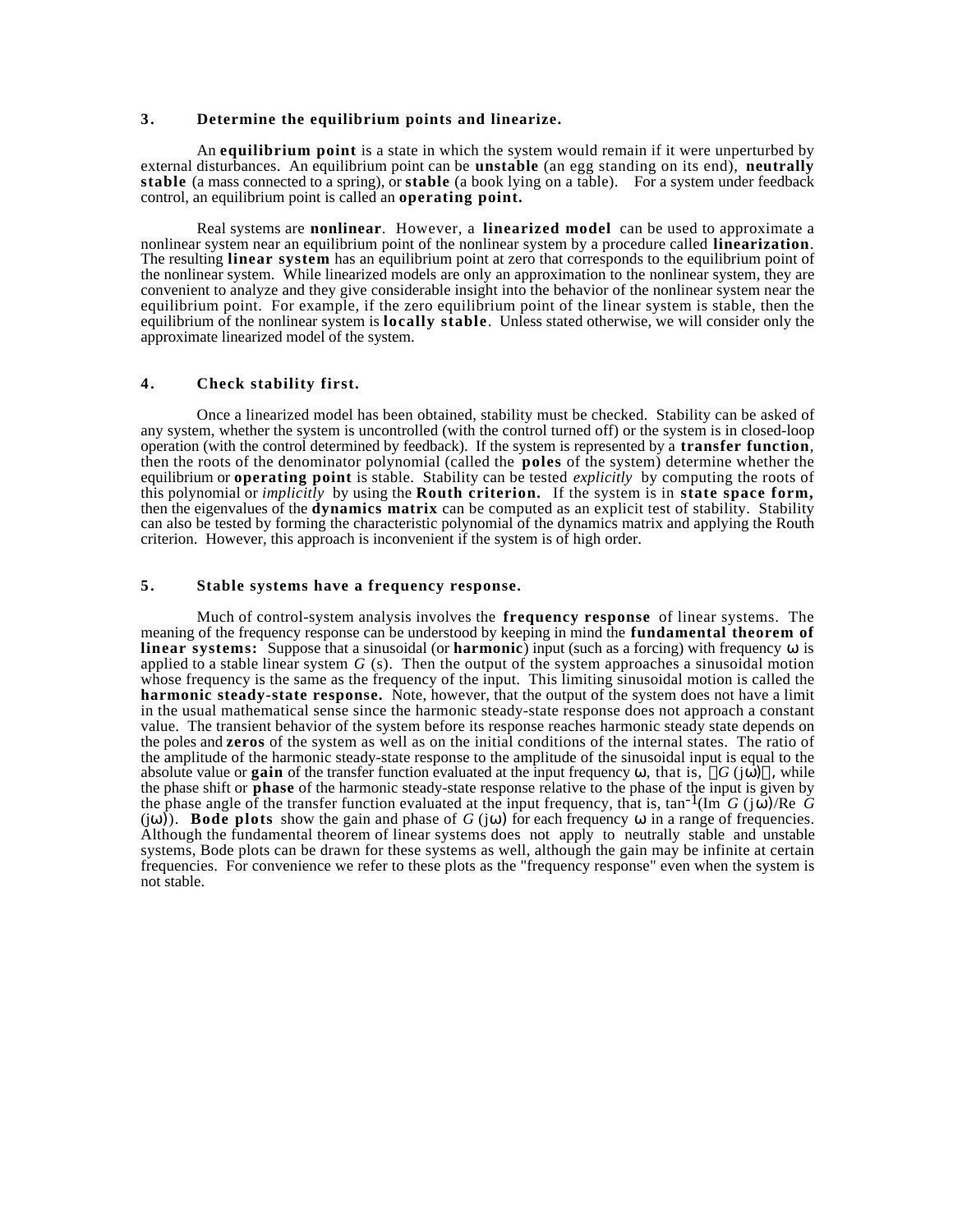## **3 . Determine the equilibrium points and linearize.**

An **equilibrium point** is a state in which the system would remain if it were unperturbed by external disturbances. An equilibrium point can be **unstable** (an egg standing on its end), **neutrally stable** (a mass connected to a spring), or **stable** (a book lying on a table).For a system under feedback control, an equilibrium point is called an **operating point.**

Real systems are **nonlinear**. However, a **linearized model** can be used to approximate a nonlinear system near an equilibrium point of the nonlinear system by a procedure called **linearization**. The resulting **linear system** has an equilibrium point at zero that corresponds to the equilibrium point of the nonlinear system. While linearized models are only an approximation to the nonlinear system, they are convenient to analyze and they give considerable insight into the behavior of the nonlinear system near the equilibrium point. For example, if the zero equilibrium point of the linear system is stable, then the equilibrium of the nonlinear system is **locally stable**. Unless stated otherwise, we will consider only the approximate linearized model of the system.

## **4 . Check stability first.**

Once a linearized model has been obtained, stability must be checked. Stability can be asked of any system, whether the system is uncontrolled (with the control turned off) or the system is in closed-loop operation (with the control determined by feedback). If the system is represented by a **transfer function**, then the roots of the denominator polynomial (called the **poles** of the system) determine whether the equilibrium or **operating point** is stable. Stability can be tested *explicitly* by computing the roots of this polynomial or *implicitly* by using the **Routh criterion.** If the system is in **state space form,** then the eigenvalues of the **dynamics matrix** can be computed as an explicit test of stability. Stability can also be tested by forming the characteristic polynomial of the dynamics matrix and applying the Routh criterion. However, this approach is inconvenient if the system is of high order.

#### **5 . Stable systems have a frequency response.**

Much of control-system analysis involves the **frequency response** of linear systems. The meaning of the frequency response can be understood by keeping in mind the **fundamental theorem of linear systems:** Suppose that a sinusoidal (or **harmonic**) input (such as a forcing) with frequency is applied to a stable linear system *G* (s). Then the output of the system approaches a sinusoidal motion whose frequency is the same as the frequency of the input. This limiting sinusoidal motion is called the **harmonic steady-state response.** Note, however, that the output of the system does not have a limit in the usual mathematical sense since the harmonic steady-state response does not approach a constant value. The transient behavior of the system before its response reaches harmonic steady state depends on the poles and **zeros** of the system as well as on the initial conditions of the internal states. The ratio of the amplitude of the harmonic steady-state response to the amplitude of the sinusoidal input is equal to the absolute value or **gain** of the transfer function evaluated at the input frequency , that is,  $G(j)$ , while the phase shift or **phase** of the harmonic steady-state response relative to the phase of the input is given by the phase angle of the transfer function evaluated at the input frequency, that is,  $tan^{-1}(Im G(j))$ /Re G (j) ). **Bode plots** show the gain and phase of  $G(j)$  for each frequency in a range of frequencies. Although the fundamental theorem of linear systems does not apply to neutrally stable and unstable systems, Bode plots can be drawn for these systems as well, although the gain may be infinite at certain frequencies. For convenience we refer to these plots as the "frequency response" even when the system is not stable.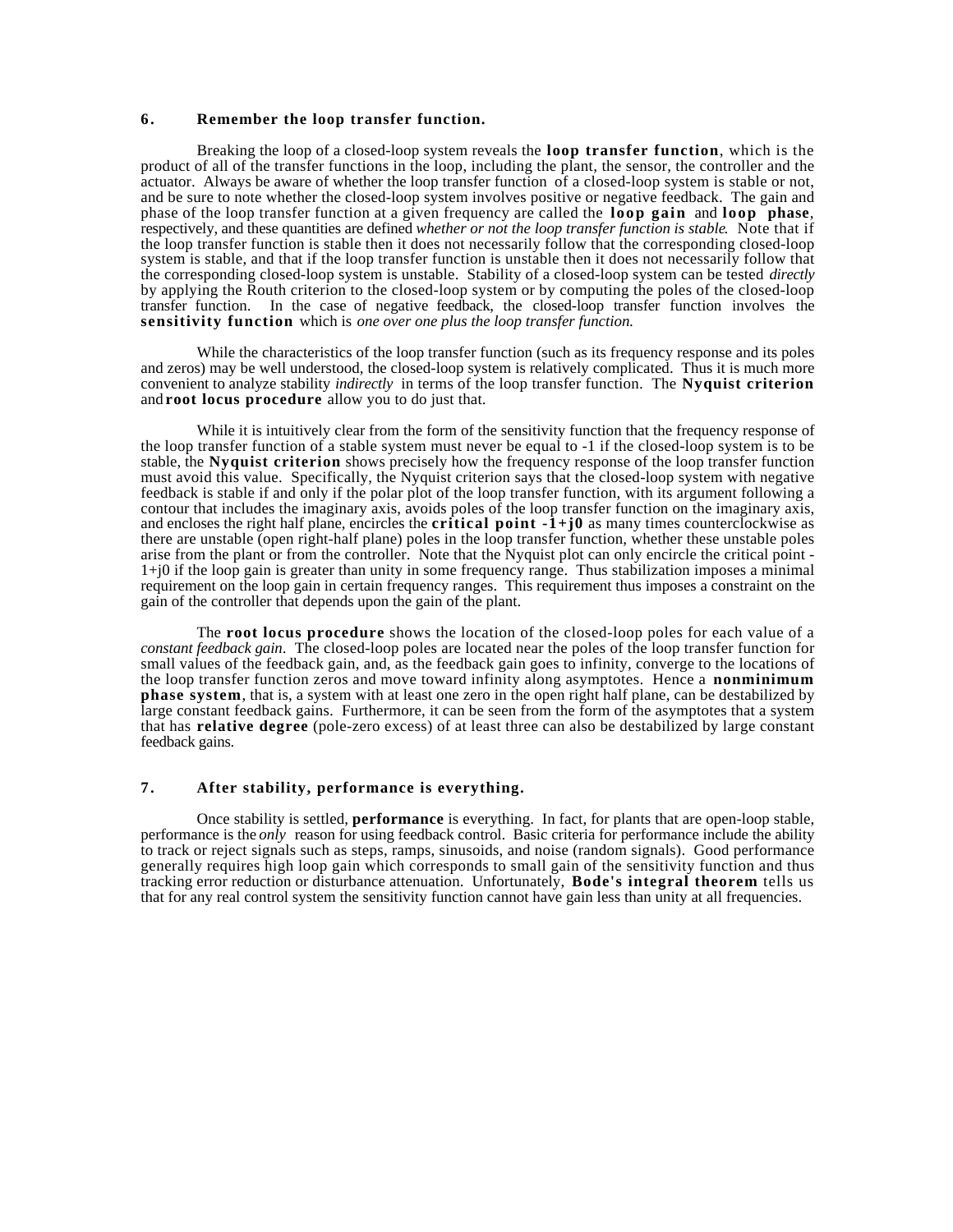# **6 . Remember the loop transfer function.**

Breaking the loop of a closed-loop system reveals the **loop transfer function**, which is the product of all of the transfer functions in the loop, including the plant, the sensor, the controller and the actuator. Always be aware of whether the loop transfer function of a closed-loop system is stable or not, and be sure to note whether the closed-loop system involves positive or negative feedback. The gain and phase of the loop transfer function at a given frequency are called the **loop gain** and **loop phase**, respectively, and these quantities are defined *whether or not the loop transfer function is stable*. Note that if the loop transfer function is stable then it does not necessarily follow that the corresponding closed-loop system is stable, and that if the loop transfer function is unstable then it does not necessarily follow that the corresponding closed-loop system is unstable. Stability of a closed-loop system can be tested *directly* by applying the Routh criterion to the closed-loop system or by computing the poles of the closed-loop transfer function. In the case of negative feedback, the closed-loop transfer function involves the **sensitivity function** which is *one over one plus the loop transfer function*.

While the characteristics of the loop transfer function (such as its frequency response and its poles and zeros) may be well understood, the closed-loop system is relatively complicated. Thus it is much more convenient to analyze stability *indirectly* in terms of the loop transfer function. The **Nyquist criterion** and **root locus procedure** allow you to do just that.

While it is intuitively clear from the form of the sensitivity function that the frequency response of the loop transfer function of a stable system must never be equal to -1 if the closed-loop system is to be stable, the **Nyquist criterion** shows precisely how the frequency response of the loop transfer function must avoid this value. Specifically, the Nyquist criterion says that the closed-loop system with negative feedback is stable if and only if the polar plot of the loop transfer function, with its argument following a contour that includes the imaginary axis, avoids poles of the loop transfer function on the imaginary axis, and encloses the right half plane, encircles the **critical point**  $-i+j0$  as many times counterclockwise as there are unstable (open right-half plane) poles in the loop transfer function, whether these unstable poles arise from the plant or from the controller. Note that the Nyquist plot can only encircle the critical point - 1+j0 if the loop gain is greater than unity in some frequency range. Thus stabilization imposes a minimal requirement on the loop gain in certain frequency ranges. This requirement thus imposes a constraint on the gain of the controller that depends upon the gain of the plant.

The **root locus procedure** shows the location of the closed-loop poles for each value of a *constant feedback gain*. The closed-loop poles are located near the poles of the loop transfer function for small values of the feedback gain, and, as the feedback gain goes to infinity, converge to the locations of the loop transfer function zeros and move toward infinity along asymptotes. Hence a **nonminimum phase system**, that is, a system with at least one zero in the open right half plane, can be destabilized by large constant feedback gains. Furthermore, it can be seen from the form of the asymptotes that a system that has **relative degree** (pole-zero excess) of at least three can also be destabilized by large constant feedback gains.

# **7 . After stability, performance is everything.**

Once stability is settled, **performance** is everything. In fact, for plants that are open-loop stable, performance is the *only* reason for using feedback control. Basic criteria for performance include the ability to track or reject signals such as steps, ramps, sinusoids, and noise (random signals). Good performance generally requires high loop gain which corresponds to small gain of the sensitivity function and thus tracking error reduction or disturbance attenuation. Unfortunately, **Bode's integral theorem** tells us that for any real control system the sensitivity function cannot have gain less than unity at all frequencies.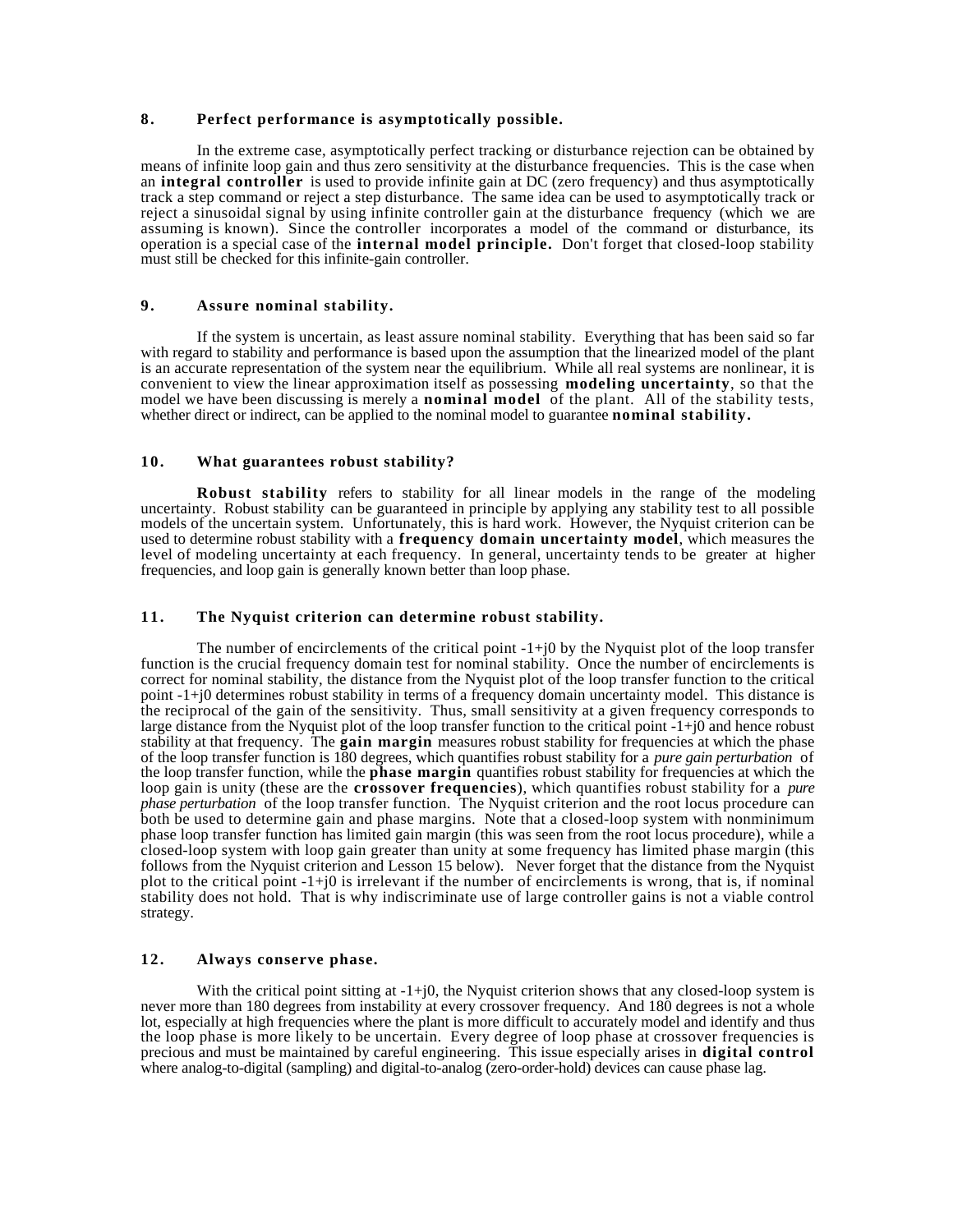### **8 . Perfect performance is asymptotically possible.**

In the extreme case, asymptotically perfect tracking or disturbance rejection can be obtained by means of infinite loop gain and thus zero sensitivity at the disturbance frequencies. This is the case when an **integral controller** is used to provide infinite gain at DC (zero frequency) and thus asymptotically track a step command or reject a step disturbance. The same idea can be used to asymptotically track or reject a sinusoidal signal by using infinite controller gain at the disturbance frequency (which we are assuming is known). Since the controller incorporates a model of the command or disturbance, its operation is a special case of the **internal model principle.** Don't forget that closed-loop stability must still be checked for this infinite-gain controller.

## **9 . Assure nominal stability.**

If the system is uncertain, as least assure nominal stability. Everything that has been said so far with regard to stability and performance is based upon the assumption that the linearized model of the plant is an accurate representation of the system near the equilibrium. While all real systems are nonlinear, it is convenient to view the linear approximation itself as possessing **modeling uncertainty**, so that the model we have been discussing is merely a **nominal model** of the plant. All of the stability tests, whether direct or indirect, can be applied to the nominal model to guarantee **nominal stability.**

## **10. What guarantees robust stability?**

**Robust stability** refers to stability for all linear models in the range of the modeling uncertainty. Robust stability can be guaranteed in principle by applying any stability test to all possible models of the uncertain system. Unfortunately, this is hard work. However, the Nyquist criterion can be used to determine robust stability with a **frequency domain uncertainty model**, which measures the level of modeling uncertainty at each frequency. In general, uncertainty tends to be greater at higher frequencies, and loop gain is generally known better than loop phase.

## **11. The Nyquist criterion can determine robust stability.**

The number of encirclements of the critical point  $-1+j0$  by the Nyquist plot of the loop transfer function is the crucial frequency domain test for nominal stability. Once the number of encirclements is correct for nominal stability, the distance from the Nyquist plot of the loop transfer function to the critical point -1+j0 determines robust stability in terms of a frequency domain uncertainty model. This distance is the reciprocal of the gain of the sensitivity. Thus, small sensitivity at a given frequency corresponds to large distance from the Nyquist plot of the loop transfer function to the critical point -1+j0 and hence robust stability at that frequency. The **gain margin** measures robust stability for frequencies at which the phase of the loop transfer function is 180 degrees, which quantifies robust stability for a *pure gain perturbation* of the loop transfer function, while the **phase margin** quantifies robust stability for frequencies at which the loop gain is unity (these are the **crossover frequencies**), which quantifies robust stability for a *pure phase perturbation* of the loop transfer function. The Nyquist criterion and the root locus procedure can both be used to determine gain and phase margins. Note that a closed-loop system with nonminimum phase loop transfer function has limited gain margin (this was seen from the root locus procedure), while a closed-loop system with loop gain greater than unity at some frequency has limited phase margin (this follows from the Nyquist criterion and Lesson 15 below). Never forget that the distance from the Nyquist plot to the critical point -1+j0 is irrelevant if the number of encirclements is wrong, that is, if nominal stability does not hold. That is why indiscriminate use of large controller gains is not a viable control strategy.

## **12. Always conserve phase.**

With the critical point sitting at  $-1+j0$ , the Nyquist criterion shows that any closed-loop system is never more than 180 degrees from instability at every crossover frequency. And 180 degrees is not a whole lot, especially at high frequencies where the plant is more difficult to accurately model and identify and thus the loop phase is more likely to be uncertain. Every degree of loop phase at crossover frequencies is precious and must be maintained by careful engineering. This issue especially arises in **digital control** where analog-to-digital (sampling) and digital-to-analog (zero-order-hold) devices can cause phase lag.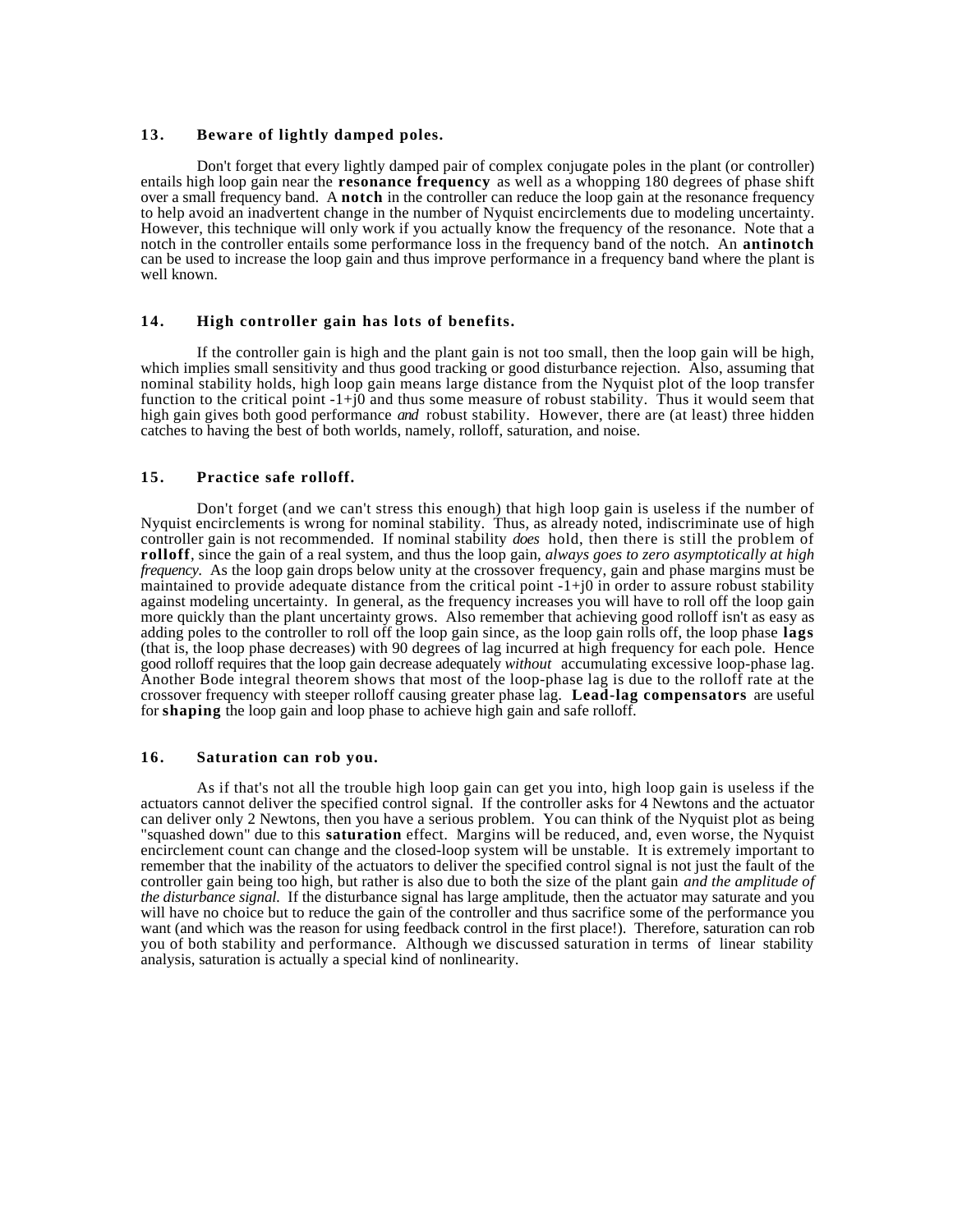#### **13. Beware of lightly damped poles.**

Don't forget that every lightly damped pair of complex conjugate poles in the plant (or controller) entails high loop gain near the **resonance frequency** as well as a whopping 180 degrees of phase shift over a small frequency band. A **notch** in the controller can reduce the loop gain at the resonance frequency to help avoid an inadvertent change in the number of Nyquist encirclements due to modeling uncertainty. However, this technique will only work if you actually know the frequency of the resonance. Note that a notch in the controller entails some performance loss in the frequency band of the notch. An **antinotch** can be used to increase the loop gain and thus improve performance in a frequency band where the plant is well known.

#### **14. High controller gain has lots of benefits.**

If the controller gain is high and the plant gain is not too small, then the loop gain will be high, which implies small sensitivity and thus good tracking or good disturbance rejection. Also, assuming that nominal stability holds, high loop gain means large distance from the Nyquist plot of the loop transfer function to the critical point -1+j0 and thus some measure of robust stability. Thus it would seem that high gain gives both good performance *and* robust stability. However, there are (at least) three hidden catches to having the best of both worlds, namely, rolloff, saturation, and noise.

#### **15. Practice safe rolloff.**

Don't forget (and we can't stress this enough) that high loop gain is useless if the number of Nyquist encirclements is wrong for nominal stability. Thus, as already noted, indiscriminate use of high controller gain is not recommended. If nominal stability *does* hold, then there is still the problem of **rolloff**, since the gain of a real system, and thus the loop gain, *always goes to zero asymptotically at high frequency*. As the loop gain drops below unity at the crossover frequency, gain and phase margins must be maintained to provide adequate distance from the critical point -1+j0 in order to assure robust stability against modeling uncertainty. In general, as the frequency increases you will have to roll off the loop gain more quickly than the plant uncertainty grows. Also remember that achieving good rolloff isn't as easy as adding poles to the controller to roll off the loop gain since, as the loop gain rolls off, the loop phase **lags** (that is, the loop phase decreases) with 90 degrees of lag incurred at high frequency for each pole. Hence good rolloff requires that the loop gain decrease adequately *without* accumulating excessive loop-phase lag. Another Bode integral theorem shows that most of the loop-phase lag is due to the rolloff rate at the crossover frequency with steeper rolloff causing greater phase lag. **Lead-lag compensators** are useful for **shaping** the loop gain and loop phase to achieve high gain and safe rolloff.

#### **16. Saturation can rob you.**

As if that's not all the trouble high loop gain can get you into, high loop gain is useless if the actuators cannot deliver the specified control signal. If the controller asks for 4 Newtons and the actuator can deliver only 2 Newtons, then you have a serious problem. You can think of the Nyquist plot as being "squashed down" due to this **saturation** effect. Margins will be reduced, and, even worse, the Nyquist encirclement count can change and the closed-loop system will be unstable. It is extremely important to remember that the inability of the actuators to deliver the specified control signal is not just the fault of the controller gain being too high, but rather is also due to both the size of the plant gain *and the amplitude of the disturbance signal.* If the disturbance signal has large amplitude, then the actuator may saturate and you will have no choice but to reduce the gain of the controller and thus sacrifice some of the performance you want (and which was the reason for using feedback control in the first place!). Therefore, saturation can rob you of both stability and performance. Although we discussed saturation in terms of linear stability analysis, saturation is actually a special kind of nonlinearity.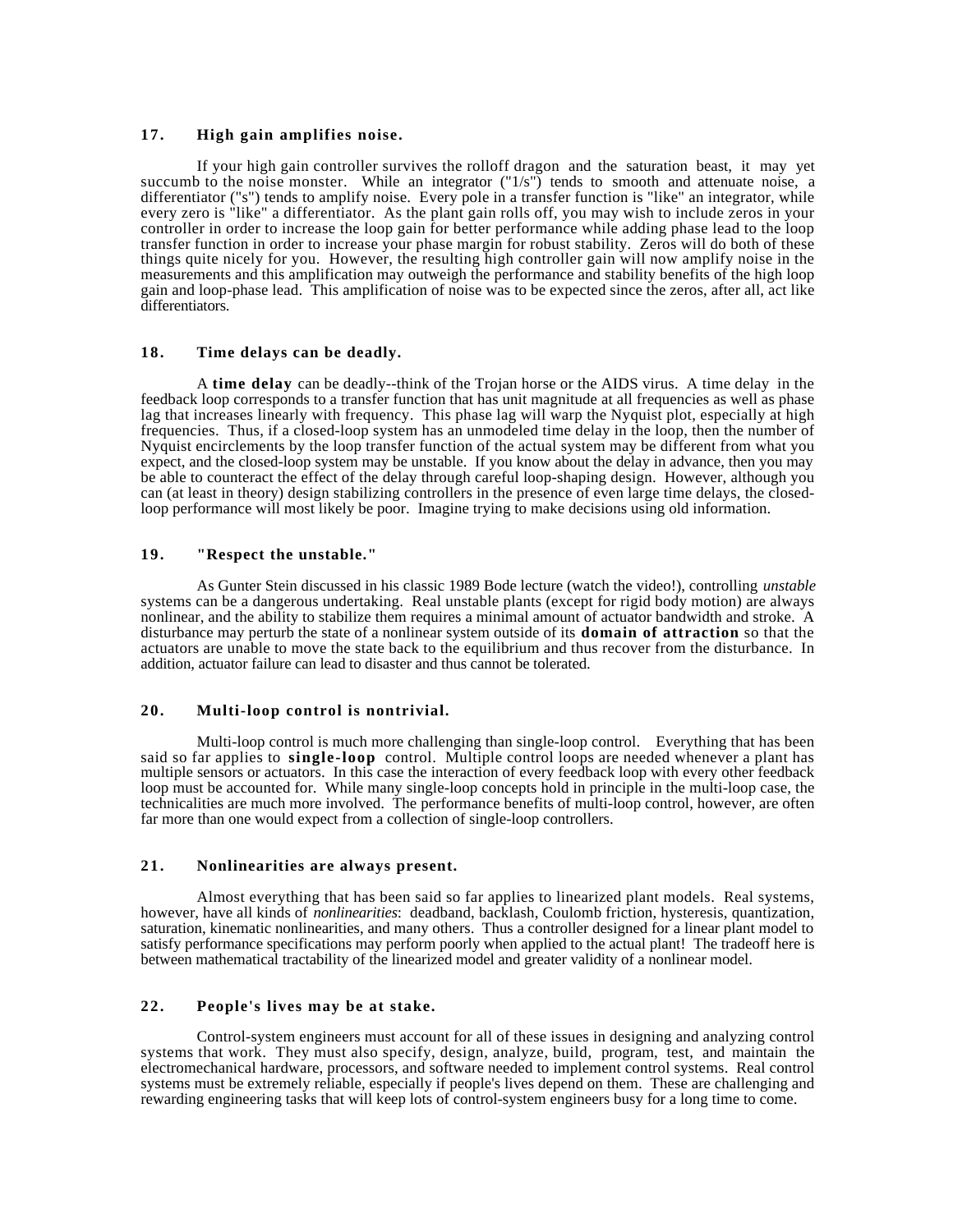## **17. High gain amplifies noise.**

If your high gain controller survives the rolloff dragon and the saturation beast, it may yet succumb to the noise monster. While an integrator ("1/s") tends to smooth and attenuate noise, a differentiator ("s") tends to amplify noise. Every pole in a transfer function is "like" an integrator, while every zero is "like" a differentiator. As the plant gain rolls off, you may wish to include zeros in your controller in order to increase the loop gain for better performance while adding phase lead to the loop transfer function in order to increase your phase margin for robust stability. Zeros will do both of these things quite nicely for you. However, the resulting high controller gain will now amplify noise in the measurements and this amplification may outweigh the performance and stability benefits of the high loop gain and loop-phase lead. This amplification of noise was to be expected since the zeros, after all, act like differentiators.

## **18. Time delays can be deadly.**

A **time delay** can be deadly--think of the Trojan horse or the AIDS virus. A time delay in the feedback loop corresponds to a transfer function that has unit magnitude at all frequencies as well as phase lag that increases linearly with frequency. This phase lag will warp the Nyquist plot, especially at high frequencies. Thus, if a closed-loop system has an unmodeled time delay in the loop, then the number of Nyquist encirclements by the loop transfer function of the actual system may be different from what you expect, and the closed-loop system may be unstable. If you know about the delay in advance, then you may be able to counteract the effect of the delay through careful loop-shaping design. However, although you can (at least in theory) design stabilizing controllers in the presence of even large time delays, the closedloop performance will most likely be poor. Imagine trying to make decisions using old information.

## **19. "Respect the unstable."**

As Gunter Stein discussed in his classic 1989 Bode lecture (watch the video!), controlling *unstable* systems can be a dangerous undertaking. Real unstable plants (except for rigid body motion) are always nonlinear, and the ability to stabilize them requires a minimal amount of actuator bandwidth and stroke. A disturbance may perturb the state of a nonlinear system outside of its **domain of attraction** so that the actuators are unable to move the state back to the equilibrium and thus recover from the disturbance. In addition, actuator failure can lead to disaster and thus cannot be tolerated.

## **20. Multi-loop control is nontrivial.**

Multi-loop control is much more challenging than single-loop control.Everything that has been said so far applies to **single-loop** control. Multiple control loops are needed whenever a plant has multiple sensors or actuators. In this case the interaction of every feedback loop with every other feedback loop must be accounted for. While many single-loop concepts hold in principle in the multi-loop case, the technicalities are much more involved. The performance benefits of multi-loop control, however, are often far more than one would expect from a collection of single-loop controllers.

#### **21. Nonlinearities are always present.**

Almost everything that has been said so far applies to linearized plant models. Real systems, however, have all kinds of *nonlinearities*: deadband, backlash, Coulomb friction, hysteresis, quantization, saturation, kinematic nonlinearities, and many others. Thus a controller designed for a linear plant model to satisfy performance specifications may perform poorly when applied to the actual plant! The tradeoff here is between mathematical tractability of the linearized model and greater validity of a nonlinear model.

## **22. People's lives may be at stake.**

Control-system engineers must account for all of these issues in designing and analyzing control systems that work. They must also specify, design, analyze, build, program, test, and maintain the electromechanical hardware, processors, and software needed to implement control systems. Real control systems must be extremely reliable, especially if people's lives depend on them. These are challenging and rewarding engineering tasks that will keep lots of control-system engineers busy for a long time to come.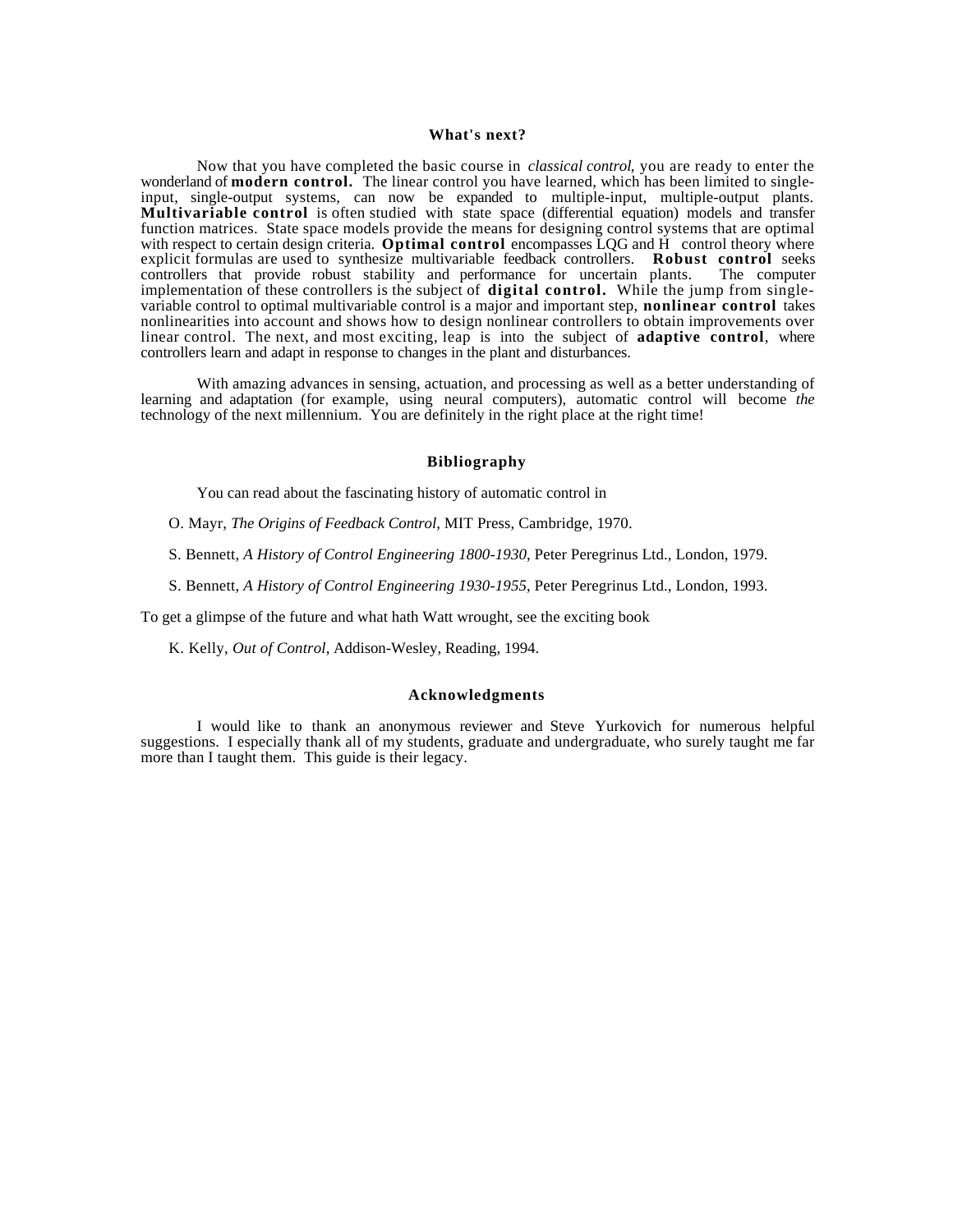#### **What's next?**

Now that you have completed the basic course in *classical control*, you are ready to enter the wonderland of **modern control.** The linear control you have learned, which has been limited to singleinput, single-output systems, can now be expanded to multiple-input, multiple-output plants. **Multivariable control** is often studied with state space (differential equation) models and transfer function matrices. State space models provide the means for designing control systems that are optimal with respect to certain design criteria. **Optimal control** encompasses LQG and H control theory where explicit formulas are used to synthesize multivariable feedback controllers. **Robust control** seeks controllers that provide robust stability and performance for uncertain plants. The computer controllers that provide robust stability and performance for uncertain plants. implementation of these controllers is the subject of **digital control.** While the jump from singlevariable control to optimal multivariable control is a major and important step, **nonlinear control** takes nonlinearities into account and shows how to design nonlinear controllers to obtain improvements over linear control. The next, and most exciting, leap is into the subject of **adaptive control**, where controllers learn and adapt in response to changes in the plant and disturbances.

With amazing advances in sensing, actuation, and processing as well as a better understanding of learning and adaptation (for example, using neural computers), automatic control will become *the* technology of the next millennium. You are definitely in the right place at the right time!

## **Bibliography**

You can read about the fascinating history of automatic control in

- O. Mayr, *The Origins of Feedback Control*, MIT Press, Cambridge, 1970.
- S. Bennett, *A History of Control Engineering 1800-1930*, Peter Peregrinus Ltd., London, 1979.
- S. Bennett, *A History of Control Engineering 1930-1955*, Peter Peregrinus Ltd., London, 1993.

To get a glimpse of the future and what hath Watt wrought, see the exciting book

K. Kelly, *Out of Control*, Addison-Wesley, Reading, 1994.

#### **Acknowledgments**

I would like to thank an anonymous reviewer and Steve Yurkovich for numerous helpful suggestions. I especially thank all of my students, graduate and undergraduate, who surely taught me far more than I taught them. This guide is their legacy.